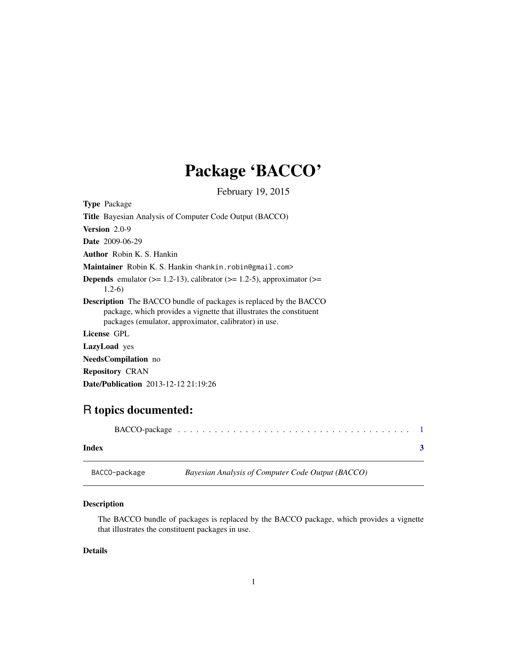## Package 'BACCO'

February 19, 2015

<span id="page-0-0"></span>

| <b>Type Package</b>                                                                                                                                                                                      |
|----------------------------------------------------------------------------------------------------------------------------------------------------------------------------------------------------------|
| <b>Title</b> Bayesian Analysis of Computer Code Output (BACCO)                                                                                                                                           |
| <b>Version</b> $2.0-9$                                                                                                                                                                                   |
| <b>Date</b> 2009-06-29                                                                                                                                                                                   |
| <b>Author</b> Robin K. S. Hankin                                                                                                                                                                         |
| <b>Maintainer</b> Robin K. S. Hankin <hankin.robin@gmail.com></hankin.robin@gmail.com>                                                                                                                   |
| <b>Depends</b> emulator ( $> = 1.2-13$ ), calibrator ( $> = 1.2-5$ ), approximator ( $> =$<br>$1.2-6$                                                                                                    |
| <b>Description</b> The BACCO bundle of packages is replaced by the BACCO<br>package, which provides a vignette that illustrates the constituent<br>packages (emulator, approximator, calibrator) in use. |
| License GPL                                                                                                                                                                                              |
| <b>LazyLoad</b> yes                                                                                                                                                                                      |
| <b>NeedsCompilation</b> no                                                                                                                                                                               |
| <b>Repository CRAN</b>                                                                                                                                                                                   |
| <b>Date/Publication</b> 2013-12-12 21:19:26                                                                                                                                                              |

### R topics documented:

#### **Index** [3](#page-2-0)

BACCO-package *Bayesian Analysis of Computer Code Output (BACCO)*

#### Description

The BACCO bundle of packages is replaced by the BACCO package, which provides a vignette that illustrates the constituent packages in use.

#### Details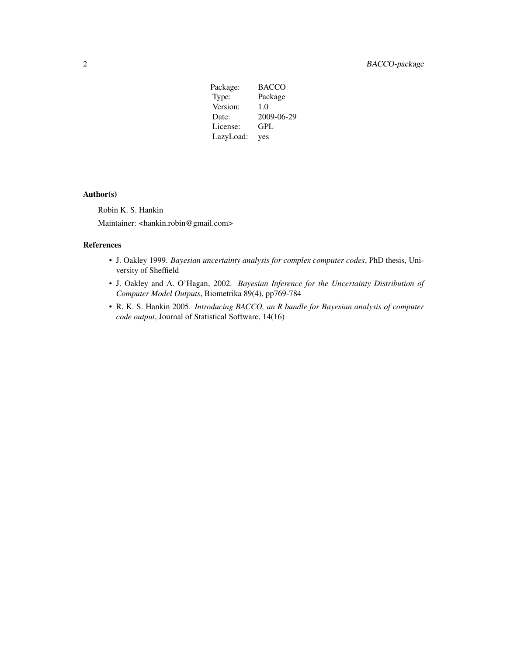| Package:  | <b>BACCO</b> |
|-----------|--------------|
| Type:     | Package      |
| Version:  | 1.0          |
| Date:     | 2009-06-29   |
| License:  | GPL          |
| LazyLoad: | yes          |

#### Author(s)

Robin K. S. Hankin Maintainer: <hankin.robin@gmail.com>

#### References

- J. Oakley 1999. *Bayesian uncertainty analysis for complex computer codes*, PhD thesis, University of Sheffield
- J. Oakley and A. O'Hagan, 2002. *Bayesian Inference for the Uncertainty Distribution of Computer Model Outputs*, Biometrika 89(4), pp769-784
- R. K. S. Hankin 2005. *Introducing BACCO, an R bundle for Bayesian analysis of computer code output*, Journal of Statistical Software, 14(16)